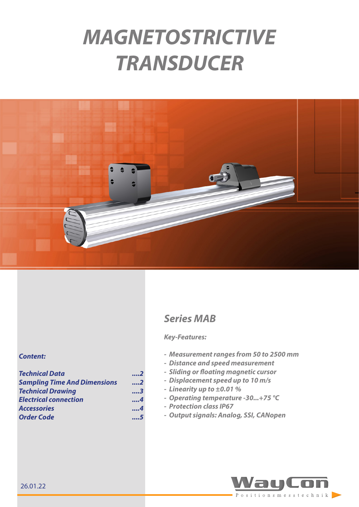# *MAGNETOSTRICTIVE TRANSDUCER*



# *Series MAB*

#### *Key-Features:*

- *- Measurement ranges from 50 to 2500 mm*
- *- Distance and speed measurement*
- *- Sliding or floating magnetic cursor*
- *- Displacement speed up to 10 m/s*
- *- Linearity up to ±0.01 %*
- *- Operating temperature -30...+75 °C*
- *- Protection class IP67*
- *- Output signals: Analog, SSI, CANopen*



#### *Content:*

| <b>Technical Data</b>               | 2   |
|-------------------------------------|-----|
| <b>Sampling Time And Dimensions</b> | 2   |
| <b>Technical Drawing</b>            | 3   |
| <b>Electrical connection</b>        | . 4 |
| <b>Accessories</b>                  | 4   |
| <b>Order Code</b>                   | 5   |

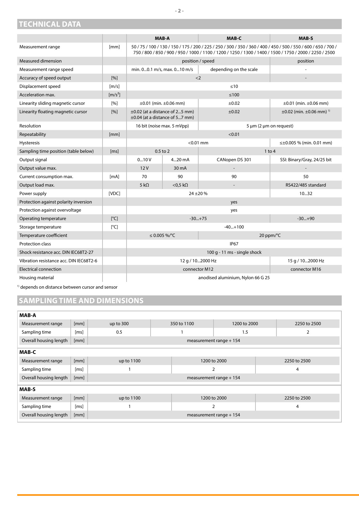## <span id="page-1-1"></span><span id="page-1-0"></span>**TECHNICAL DATA**

|                                         |                              |                                                                                                                                                                                                                             | <b>MAB-A</b>                    | MAB-C                       | <b>MAB-S</b>                                  |
|-----------------------------------------|------------------------------|-----------------------------------------------------------------------------------------------------------------------------------------------------------------------------------------------------------------------------|---------------------------------|-----------------------------|-----------------------------------------------|
| Measurement range                       | [mm]                         | 50 / 75 / 100 / 130 / 150 / 175 / 200 / 225 / 250 / 300 / 350 / 360 / 400 / 450 / 500 / 550 / 600 / 650 / 700 /<br>750 / 800 / 850 / 900 / 950 / 1000 / 1100 / 1200 / 1250 / 1300 / 1400 / 1500 / 1750 / 2000 / 2250 / 2500 |                                 |                             |                                               |
| Measured dimension                      |                              | position / speed                                                                                                                                                                                                            |                                 |                             | position                                      |
| Measurement range speed                 |                              | min. 00.1 m/s, max. 010 m/s                                                                                                                                                                                                 |                                 | depending on the scale      |                                               |
| Accuracy of speed output                | [%]                          |                                                                                                                                                                                                                             | $<$ 2                           |                             |                                               |
| Displacement speed                      | $\left[\frac{m}{s}\right]$   |                                                                                                                                                                                                                             |                                 | ≤10                         |                                               |
| Acceleration max.                       | $\left[\frac{m}{s^2}\right]$ | $\leq 100$                                                                                                                                                                                                                  |                                 |                             |                                               |
| Linearity sliding magnetic cursor       | $\lceil 96 \rceil$           |                                                                                                                                                                                                                             | $\pm 0.01$ (min. $\pm 0.06$ mm) | $\pm 0.02$                  | $\pm 0.01$ (min. $\pm 0.06$ mm)               |
| Linearity floating magnetic cursor      | [%]                          | $\pm 0.02$ (at a distance of 25 mm)<br>$\pm 0.04$ (at a distance of 57 mm)                                                                                                                                                  |                                 | ±0.02                       | $\pm 0.02$ (min. $\pm 0.06$ mm) <sup>1)</sup> |
| <b>Resolution</b>                       |                              | 5 µm (2 µm on request)<br>16 bit (noise max. 5 mVpp)                                                                                                                                                                        |                                 |                             |                                               |
| Repeatability                           | [mm]                         | < 0.01                                                                                                                                                                                                                      |                                 |                             |                                               |
| Hysteresis                              |                              | $< 0.01$ mm                                                                                                                                                                                                                 |                                 |                             | $\leq \pm 0.005$ % (min. 0.01 mm)             |
| Sampling time position (table below)    | [ms]                         | $0.5$ to $2$                                                                                                                                                                                                                |                                 |                             | $1$ to $4$                                    |
| Output signal                           |                              | 010V<br>420 mA<br>CANopen DS 301                                                                                                                                                                                            |                                 | SSI: Binary/Gray, 24/25 bit |                                               |
| Output value max.                       |                              | 12V                                                                                                                                                                                                                         | 30 mA                           |                             |                                               |
| Current consumption max.                | [mA]                         | 70                                                                                                                                                                                                                          | 90                              | 90                          | 50                                            |
| Output load max.                        |                              | $5 k\Omega$<br>$<$ 0.5 k $\Omega$                                                                                                                                                                                           |                                 | RS422/485 standard          |                                               |
| Power supply                            | [VDC]                        | $24 + 20%$<br>1032                                                                                                                                                                                                          |                                 |                             |                                               |
| Protection against polarity inversion   |                              | yes                                                                                                                                                                                                                         |                                 |                             |                                               |
| Protection against overvoltage          |                              | yes                                                                                                                                                                                                                         |                                 |                             |                                               |
| Operating temperature                   | $\lceil^{\circ}$ C           | $-30+75$<br>$-30+90$                                                                                                                                                                                                        |                                 |                             |                                               |
| Storage temperature                     | [°C]                         | $-40+100$                                                                                                                                                                                                                   |                                 |                             |                                               |
| Temperature coefficient                 |                              | ≤ 0.005 %/°C<br>20 ppm/°C                                                                                                                                                                                                   |                                 |                             |                                               |
| <b>Protection class</b>                 |                              | <b>IP67</b>                                                                                                                                                                                                                 |                                 |                             |                                               |
| Shock resistance acc. DIN IEC68T2-27    |                              | 100 g - 11 ms - single shock                                                                                                                                                                                                |                                 |                             |                                               |
| Vibration resistance acc. DIN IEC68T2-6 |                              | 15 g / 102000 Hz<br>12 g / 102000 Hz                                                                                                                                                                                        |                                 |                             |                                               |
| <b>Electrical connection</b>            |                              | connector M12<br>connector M16                                                                                                                                                                                              |                                 |                             |                                               |
| Housing material                        |                              | anodised aluminium, Nylon 66 G 25                                                                                                                                                                                           |                                 |                             |                                               |

<sup>1)</sup> depends on distance between cursor and sensor

r

# **SAMPLING TIME AND DIMENSIONS**

| <b>MAB-A</b>           |      |                          |              |                |  |              |  |
|------------------------|------|--------------------------|--------------|----------------|--|--------------|--|
| Measurement range      | [mm] | up to $300$              | 350 to 1100  | 1200 to 2000   |  | 2250 to 2500 |  |
| Sampling time          | [ms] | 0.5                      | 1.5          |                |  | 2            |  |
| Overall housing length | [mm] | measurement range + 154  |              |                |  |              |  |
| <b>MAB-C</b>           |      |                          |              |                |  |              |  |
| Measurement range      | [mm] | up to 1100               | 1200 to 2000 |                |  | 2250 to 2500 |  |
| Sampling time          | [ms] | 2                        |              |                |  | 4            |  |
| Overall housing length | [mm] | measurement range $+154$ |              |                |  |              |  |
| <b>MAB-S</b>           |      |                          |              |                |  |              |  |
| Measurement range      | [mm] | up to 1100               |              | 1200 to 2000   |  | 2250 to 2500 |  |
| Sampling time          | [ms] |                          |              | $\overline{2}$ |  | 4            |  |
| Overall housing length | [mm] | measurement range $+154$ |              |                |  |              |  |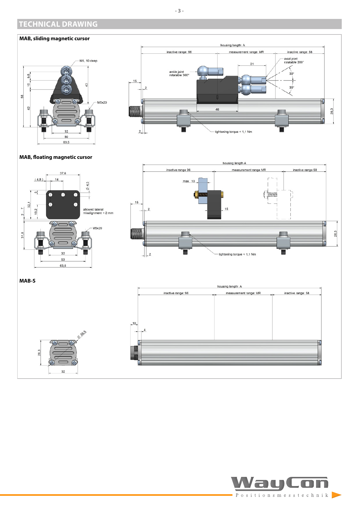## <span id="page-2-0"></span>**TECHNICAL DRAWING**

#### **MAB, sliding magnetic cursor**





#### **MAB, floating magnetic cursor**



0.385

 $32$ 

28.3

 $\overline{4}$ 

о





Đ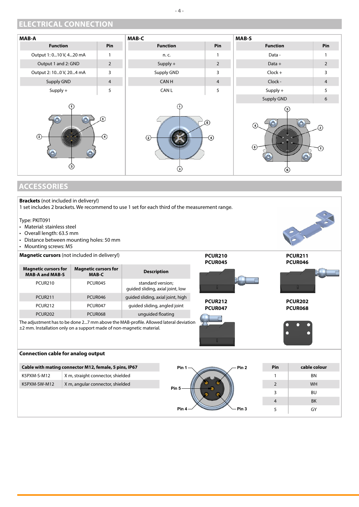## <span id="page-3-0"></span>**ELECTRICAL CONNECTION**



# **ACCESSORIES**

| <b>Brackets</b> (not included in delivery!)<br>1 set includes 2 brackets. We recommend to use 1 set for each third of the measurement range.<br>Type: PKIT091<br>• Material: stainless steel<br>• Overall length: 63.5 mm<br>• Distance between mounting holes: 50 mm<br>• Mounting screws: M5 |                                                       |                                                       |                  |                                  |                |                           |  |  |
|------------------------------------------------------------------------------------------------------------------------------------------------------------------------------------------------------------------------------------------------------------------------------------------------|-------------------------------------------------------|-------------------------------------------------------|------------------|----------------------------------|----------------|---------------------------|--|--|
|                                                                                                                                                                                                                                                                                                | Magnetic cursors (not included in delivery!)          |                                                       |                  | <b>PCUR210</b><br><b>PCUR045</b> |                | <b>PCUR211</b><br>PCUR046 |  |  |
| <b>Magnetic cursors for</b><br><b>MAB-A and MAB-S</b>                                                                                                                                                                                                                                          | <b>Magnetic cursors for</b><br>MAB-C                  | <b>Description</b>                                    |                  |                                  |                |                           |  |  |
| <b>PCUR210</b>                                                                                                                                                                                                                                                                                 | PCUR045                                               | standard version;<br>quided sliding, axial joint, low |                  |                                  |                |                           |  |  |
| <b>PCUR211</b>                                                                                                                                                                                                                                                                                 | PCUR046                                               | guided sliding, axial joint, high                     |                  | <b>PCUR212</b>                   |                | <b>PCUR202</b>            |  |  |
| <b>PCUR212</b>                                                                                                                                                                                                                                                                                 | PCUR047                                               | quided sliding, angled joint                          |                  | PCUR047                          |                | <b>PCUR068</b>            |  |  |
| <b>PCUR202</b>                                                                                                                                                                                                                                                                                 | PCUR068                                               | unguided floating                                     |                  |                                  |                |                           |  |  |
| The adjustment has to be done 27 mm above the MAB-profile. Allowed lateral deviation<br>±2 mm. Installation only on a support made of non-magnetic material.                                                                                                                                   |                                                       |                                                       |                  |                                  |                |                           |  |  |
| <b>Connection cable for analog output</b>                                                                                                                                                                                                                                                      |                                                       |                                                       |                  |                                  |                |                           |  |  |
|                                                                                                                                                                                                                                                                                                | Cable with mating connector M12, female, 5 pins, IP67 |                                                       | Pin 1            | Pin <sub>2</sub>                 | Pin            | cable colour              |  |  |
| K5PXM-S-M12                                                                                                                                                                                                                                                                                    | X m, straight connector, shielded                     | Pin <sub>5</sub>                                      |                  |                                  | $\mathbf{1}$   | <b>BN</b>                 |  |  |
| K5PXM-SW-M12                                                                                                                                                                                                                                                                                   | X m, angular connector, shielded                      |                                                       |                  |                                  | $\overline{2}$ | <b>WH</b>                 |  |  |
|                                                                                                                                                                                                                                                                                                |                                                       |                                                       |                  | 3                                | <b>BU</b>      |                           |  |  |
|                                                                                                                                                                                                                                                                                                |                                                       |                                                       |                  |                                  |                | <b>BK</b>                 |  |  |
|                                                                                                                                                                                                                                                                                                |                                                       |                                                       | Pin <sub>4</sub> | Pin <sub>3</sub>                 | 5              | GY                        |  |  |

**- 4 -**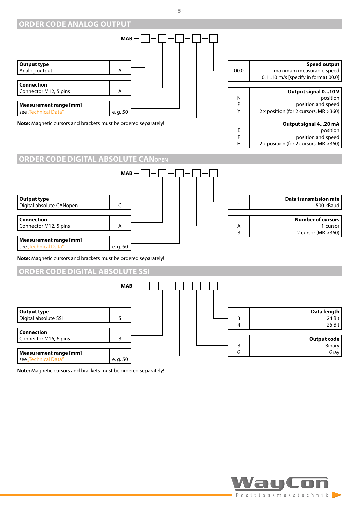#### <span id="page-4-0"></span>**ORDER CODE ANALOG OUTPUT**





**Note:** Magnetic cursors and brackets must be ordered separately!

#### **ORDER CODE DIGITAL ABSOLUTE SSI**



**Note:** Magnetic cursors and brackets must be ordered separately!